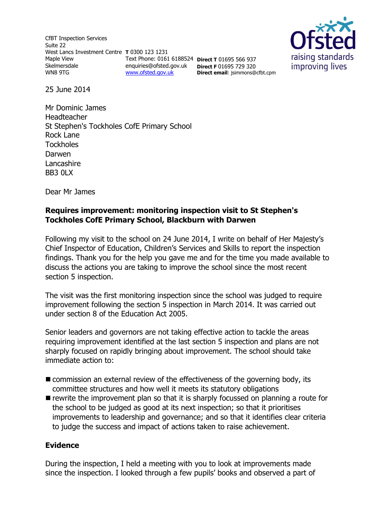CfBT Inspection Services Suite 22 West Lancs Investment Centre **T** 0300 123 1231 Maple View **Skelmersdale** WN8 9TG [www.ofsted.gov.uk](http://www.ofsted.gov.uk/)



Text Phone: 0161 6188524 **Direct T** 01695 566 937 enquiries@ofsted.gov.uk **Direct F** 01695 729 320 **Direct email**: jsimmons@cfbt.cpm

25 June 2014

Mr Dominic James Headteacher St Stephen's Tockholes CofE Primary School Rock Lane **Tockholes** Darwen Lancashire BB3 0LX

Dear Mr James

#### **Requires improvement: monitoring inspection visit to St Stephen's Tockholes CofE Primary School, Blackburn with Darwen**

Following my visit to the school on 24 June 2014, I write on behalf of Her Majesty's Chief Inspector of Education, Children's Services and Skills to report the inspection findings. Thank you for the help you gave me and for the time you made available to discuss the actions you are taking to improve the school since the most recent section 5 inspection.

The visit was the first monitoring inspection since the school was judged to require improvement following the section 5 inspection in March 2014. It was carried out under section 8 of the Education Act 2005.

Senior leaders and governors are not taking effective action to tackle the areas requiring improvement identified at the last section 5 inspection and plans are not sharply focused on rapidly bringing about improvement. The school should take immediate action to:

- commission an external review of the effectiveness of the governing body, its committee structures and how well it meets its statutory obligations
- $\blacksquare$  rewrite the improvement plan so that it is sharply focussed on planning a route for the school to be judged as good at its next inspection; so that it prioritises improvements to leadership and governance; and so that it identifies clear criteria to judge the success and impact of actions taken to raise achievement.

### **Evidence**

During the inspection, I held a meeting with you to look at improvements made since the inspection. I looked through a few pupils' books and observed a part of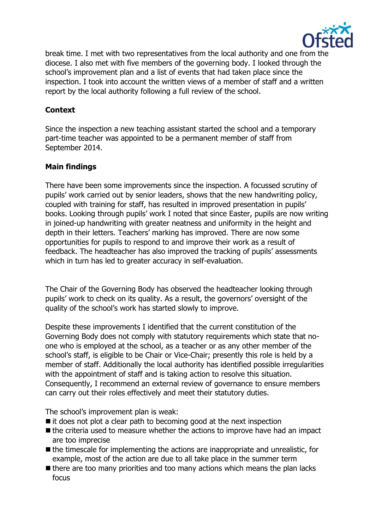

break time. I met with two representatives from the local authority and one from the diocese. I also met with five members of the governing body. I looked through the school's improvement plan and a list of events that had taken place since the inspection. I took into account the written views of a member of staff and a written report by the local authority following a full review of the school.

# **Context**

Since the inspection a new teaching assistant started the school and a temporary part-time teacher was appointed to be a permanent member of staff from September 2014.

## **Main findings**

There have been some improvements since the inspection. A focussed scrutiny of pupils' work carried out by senior leaders, shows that the new handwriting policy, coupled with training for staff, has resulted in improved presentation in pupils' books. Looking through pupils' work I noted that since Easter, pupils are now writing in joined-up handwriting with greater neatness and uniformity in the height and depth in their letters. Teachers' marking has improved. There are now some opportunities for pupils to respond to and improve their work as a result of feedback. The headteacher has also improved the tracking of pupils' assessments which in turn has led to greater accuracy in self-evaluation.

The Chair of the Governing Body has observed the headteacher looking through pupils' work to check on its quality. As a result, the governors' oversight of the quality of the school's work has started slowly to improve.

Despite these improvements I identified that the current constitution of the Governing Body does not comply with statutory requirements which state that noone who is employed at the school, as a teacher or as any other member of the school's staff, is eligible to be Chair or Vice-Chair; presently this role is held by a member of staff. Additionally the local authority has identified possible irregularities with the appointment of staff and is taking action to resolve this situation. Consequently, I recommend an external review of governance to ensure members can carry out their roles effectively and meet their statutory duties.

The school's improvement plan is weak:

- $\blacksquare$  it does not plot a clear path to becoming good at the next inspection
- $\blacksquare$  the criteria used to measure whether the actions to improve have had an impact are too imprecise
- $\blacksquare$  the timescale for implementing the actions are inappropriate and unrealistic, for example, most of the action are due to all take place in the summer term
- $\blacksquare$  there are too many priorities and too many actions which means the plan lacks focus